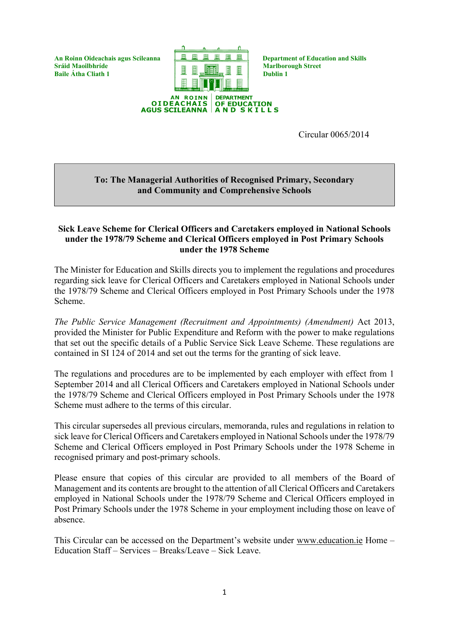**Sráid Maoilbhríde** (Baile Átha Cliath 1) [Beile Átha Cliath 1) [Beile Átha Cliath 1 **Baile Átha Cliath 1 Dublin 1** 



Circular 0065/2014

### **To: The Managerial Authorities of Recognised Primary, Secondary and Community and Comprehensive Schools**

### **Sick Leave Scheme for Clerical Officers and Caretakers employed in National Schools under the 1978/79 Scheme and Clerical Officers employed in Post Primary Schools under the 1978 Scheme**

The Minister for Education and Skills directs you to implement the regulations and procedures regarding sick leave for Clerical Officers and Caretakers employed in National Schools under the 1978/79 Scheme and Clerical Officers employed in Post Primary Schools under the 1978 Scheme.

*The Public Service Management (Recruitment and Appointments) (Amendment)* Act 2013, provided the Minister for Public Expenditure and Reform with the power to make regulations that set out the specific details of a Public Service Sick Leave Scheme. These regulations are contained in SI 124 of 2014 and set out the terms for the granting of sick leave.

The regulations and procedures are to be implemented by each employer with effect from 1 September 2014 and all Clerical Officers and Caretakers employed in National Schools under the 1978/79 Scheme and Clerical Officers employed in Post Primary Schools under the 1978 Scheme must adhere to the terms of this circular.

This circular supersedes all previous circulars, memoranda, rules and regulations in relation to sick leave for Clerical Officers and Caretakers employed in National Schools under the 1978/79 Scheme and Clerical Officers employed in Post Primary Schools under the 1978 Scheme in recognised primary and post-primary schools.

Please ensure that copies of this circular are provided to all members of the Board of Management and its contents are brought to the attention of all Clerical Officers and Caretakers employed in National Schools under the 1978/79 Scheme and Clerical Officers employed in Post Primary Schools under the 1978 Scheme in your employment including those on leave of absence.

This Circular can be accessed on the Department's website under [www.education.ie](http://www.education.ie/) Home – Education Staff – Services – Breaks/Leave – Sick Leave.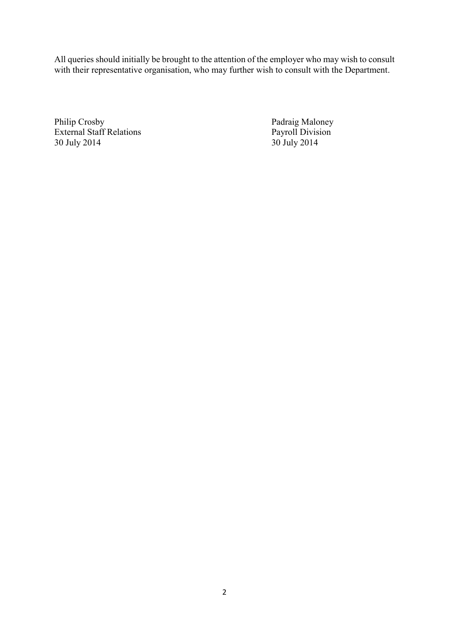All queries should initially be brought to the attention of the employer who may wish to consult with their representative organisation, who may further wish to consult with the Department.

Philip Crosby<br>
External Staff Relations<br>
Payroll Division<br>
Payroll Division External Staff Relations Payroll Division Payroll Division Payroll Division Payroll Division Payroll Division Payroll Division Payroll Division Payroll Division Payroll Division Payroll Division Payroll Division Payroll Di 30 July 2014 30 July 2014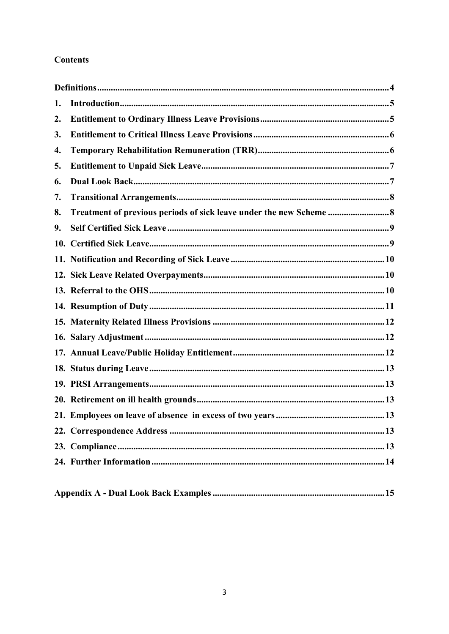# **Contents**

| 1. |  |
|----|--|
| 2. |  |
| 3. |  |
| 4. |  |
| 5. |  |
| 6. |  |
| 7. |  |
| 8. |  |
| 9. |  |
|    |  |
|    |  |
|    |  |
|    |  |
|    |  |
|    |  |
|    |  |
|    |  |
|    |  |
|    |  |
|    |  |
|    |  |
|    |  |
|    |  |
|    |  |
|    |  |

|--|--|--|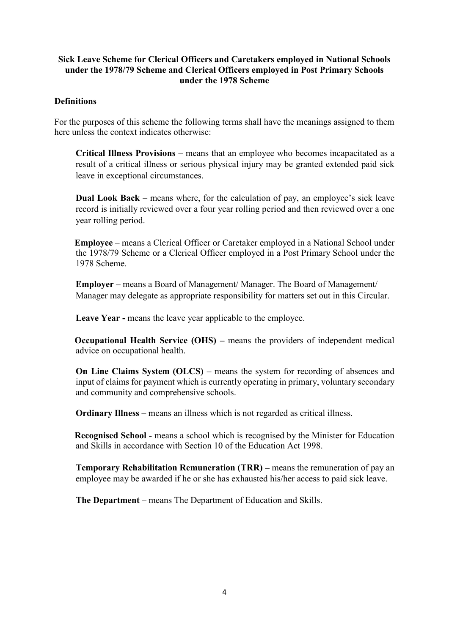## **Sick Leave Scheme for Clerical Officers and Caretakers employed in National Schools under the 1978/79 Scheme and Clerical Officers employed in Post Primary Schools under the 1978 Scheme**

### <span id="page-3-0"></span>**Definitions**

For the purposes of this scheme the following terms shall have the meanings assigned to them here unless the context indicates otherwise:

**Critical Illness Provisions –** means that an employee who becomes incapacitated as a result of a critical illness or serious physical injury may be granted extended paid sick leave in exceptional circumstances.

**Dual Look Back –** means where, for the calculation of pay, an employee's sick leave record is initially reviewed over a four year rolling period and then reviewed over a one year rolling period.

**Employee** – means a Clerical Officer or Caretaker employed in a National School under the 1978/79 Scheme or a Clerical Officer employed in a Post Primary School under the 1978 Scheme.

**Employer –** means a Board of Management/ Manager. The Board of Management/ Manager may delegate as appropriate responsibility for matters set out in this Circular.

**Leave Year -** means the leave year applicable to the employee.

**Occupational Health Service (OHS) – means the providers of independent medical** advice on occupational health.

**On Line Claims System (OLCS)** – means the system for recording of absences and input of claims for payment which is currently operating in primary, voluntary secondary and community and comprehensive schools.

**Ordinary Illness –** means an illness which is not regarded as critical illness.

**Recognised School -** means a school which is recognised by the Minister for Education and Skills in accordance with Section 10 of the Education Act 1998.

**Temporary Rehabilitation Remuneration (TRR) –** means the remuneration of pay an employee may be awarded if he or she has exhausted his/her access to paid sick leave.

**The Department** – means The Department of Education and Skills.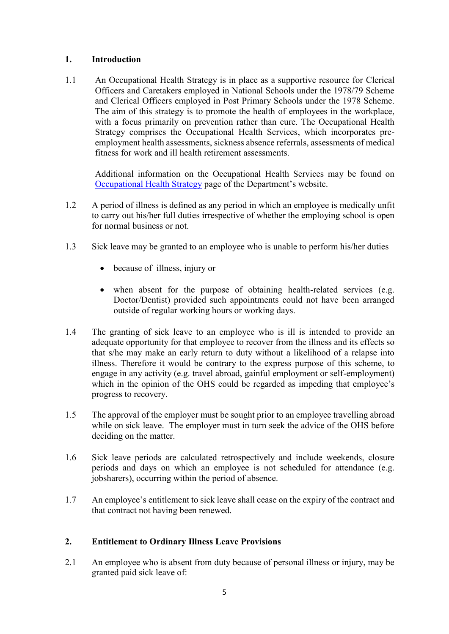## <span id="page-4-0"></span>**1. Introduction**

1.1 An Occupational Health Strategy is in place as a supportive resource for Clerical Officers and Caretakers employed in National Schools under the 1978/79 Scheme and Clerical Officers employed in Post Primary Schools under the 1978 Scheme. The aim of this strategy is to promote the health of employees in the workplace, with a focus primarily on prevention rather than cure. The Occupational Health Strategy comprises the Occupational Health Services, which incorporates preemployment health assessments, sickness absence referrals, assessments of medical fitness for work and ill health retirement assessments.

Additional information on the Occupational Health Services may be found on [Occupational Health Strategy](http://www.education.ie/en/Education-Staff/Information/Occupational-Health-Strategy/) page of the Department's website.

- 1.2 A period of illness is defined as any period in which an employee is medically unfit to carry out his/her full duties irrespective of whether the employing school is open for normal business or not.
- 1.3 Sick leave may be granted to an employee who is unable to perform his/her duties
	- because of illness, injury or
	- when absent for the purpose of obtaining health-related services (e.g. Doctor/Dentist) provided such appointments could not have been arranged outside of regular working hours or working days.
- 1.4 The granting of sick leave to an employee who is ill is intended to provide an adequate opportunity for that employee to recover from the illness and its effects so that s/he may make an early return to duty without a likelihood of a relapse into illness. Therefore it would be contrary to the express purpose of this scheme, to engage in any activity (e.g. travel abroad, gainful employment or self-employment) which in the opinion of the OHS could be regarded as impeding that employee's progress to recovery.
- 1.5 The approval of the employer must be sought prior to an employee travelling abroad while on sick leave. The employer must in turn seek the advice of the OHS before deciding on the matter.
- 1.6 Sick leave periods are calculated retrospectively and include weekends, closure periods and days on which an employee is not scheduled for attendance (e.g. jobsharers), occurring within the period of absence.
- 1.7 An employee's entitlement to sick leave shall cease on the expiry of the contract and that contract not having been renewed.

## <span id="page-4-1"></span>**2. Entitlement to Ordinary Illness Leave Provisions**

2.1 An employee who is absent from duty because of personal illness or injury, may be granted paid sick leave of: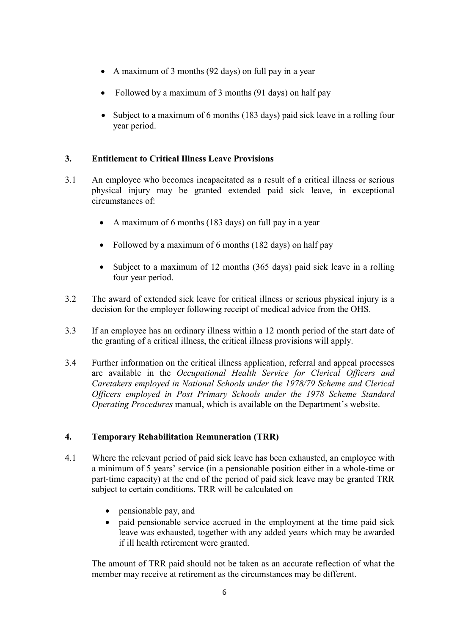- A maximum of 3 months (92 days) on full pay in a year
- Followed by a maximum of 3 months (91 days) on half pay
- Subject to a maximum of 6 months (183 days) paid sick leave in a rolling four year period.

## <span id="page-5-0"></span>**3. Entitlement to Critical Illness Leave Provisions**

- 3.1 An employee who becomes incapacitated as a result of a critical illness or serious physical injury may be granted extended paid sick leave, in exceptional circumstances of:
	- A maximum of 6 months (183 days) on full pay in a year
	- Followed by a maximum of 6 months (182 days) on half pay
	- Subject to a maximum of 12 months (365 days) paid sick leave in a rolling four year period.
- 3.2 The award of extended sick leave for critical illness or serious physical injury is a decision for the employer following receipt of medical advice from the OHS.
- 3.3 If an employee has an ordinary illness within a 12 month period of the start date of the granting of a critical illness, the critical illness provisions will apply.
- 3.4 Further information on the critical illness application, referral and appeal processes are available in the *Occupational Health Service for Clerical Officers and Caretakers employed in National Schools under the 1978/79 Scheme and Clerical Officers employed in Post Primary Schools under the 1978 Scheme Standard Operating Procedures* manual, which is available on the Department's website.

## <span id="page-5-1"></span>**4. Temporary Rehabilitation Remuneration (TRR)**

- 4.1 Where the relevant period of paid sick leave has been exhausted, an employee with a minimum of 5 years' service (in a pensionable position either in a whole-time or part-time capacity) at the end of the period of paid sick leave may be granted TRR subject to certain conditions. TRR will be calculated on
	- pensionable pay, and
	- paid pensionable service accrued in the employment at the time paid sick leave was exhausted, together with any added years which may be awarded if ill health retirement were granted.

The amount of TRR paid should not be taken as an accurate reflection of what the member may receive at retirement as the circumstances may be different.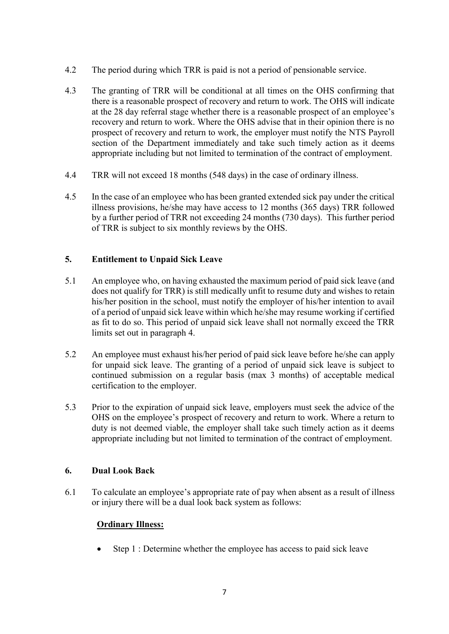- 4.2 The period during which TRR is paid is not a period of pensionable service.
- 4.3 The granting of TRR will be conditional at all times on the OHS confirming that there is a reasonable prospect of recovery and return to work. The OHS will indicate at the 28 day referral stage whether there is a reasonable prospect of an employee's recovery and return to work. Where the OHS advise that in their opinion there is no prospect of recovery and return to work, the employer must notify the NTS Payroll section of the Department immediately and take such timely action as it deems appropriate including but not limited to termination of the contract of employment.
- 4.4 TRR will not exceed 18 months (548 days) in the case of ordinary illness.
- 4.5 In the case of an employee who has been granted extended sick pay under the critical illness provisions, he/she may have access to 12 months (365 days) TRR followed by a further period of TRR not exceeding 24 months (730 days). This further period of TRR is subject to six monthly reviews by the OHS.

## <span id="page-6-0"></span>**5. Entitlement to Unpaid Sick Leave**

- 5.1 An employee who, on having exhausted the maximum period of paid sick leave (and does not qualify for TRR) is still medically unfit to resume duty and wishes to retain his/her position in the school, must notify the employer of his/her intention to avail of a period of unpaid sick leave within which he/she may resume working if certified as fit to do so. This period of unpaid sick leave shall not normally exceed the TRR limits set out in paragraph 4.
- 5.2 An employee must exhaust his/her period of paid sick leave before he/she can apply for unpaid sick leave. The granting of a period of unpaid sick leave is subject to continued submission on a regular basis (max 3 months) of acceptable medical certification to the employer.
- 5.3 Prior to the expiration of unpaid sick leave, employers must seek the advice of the OHS on the employee's prospect of recovery and return to work. Where a return to duty is not deemed viable, the employer shall take such timely action as it deems appropriate including but not limited to termination of the contract of employment.

## <span id="page-6-1"></span>**6. Dual Look Back**

6.1 To calculate an employee's appropriate rate of pay when absent as a result of illness or injury there will be a dual look back system as follows:

## **Ordinary Illness:**

• Step 1 : Determine whether the employee has access to paid sick leave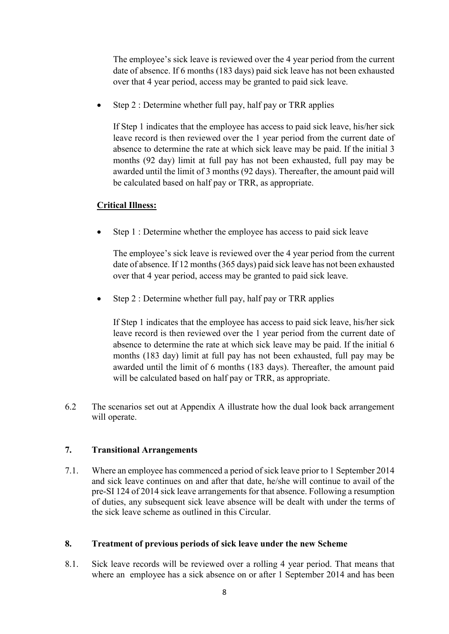The employee's sick leave is reviewed over the 4 year period from the current date of absence. If 6 months (183 days) paid sick leave has not been exhausted over that 4 year period, access may be granted to paid sick leave.

 $\bullet$  Step 2 : Determine whether full pay, half pay or TRR applies

If Step 1 indicates that the employee has access to paid sick leave, his/her sick leave record is then reviewed over the 1 year period from the current date of absence to determine the rate at which sick leave may be paid. If the initial 3 months (92 day) limit at full pay has not been exhausted, full pay may be awarded until the limit of 3 months (92 days). Thereafter, the amount paid will be calculated based on half pay or TRR, as appropriate.

## **Critical Illness:**

• Step 1 : Determine whether the employee has access to paid sick leave

The employee's sick leave is reviewed over the 4 year period from the current date of absence. If 12 months (365 days) paid sick leave has not been exhausted over that 4 year period, access may be granted to paid sick leave.

 $\bullet$  Step 2 : Determine whether full pay, half pay or TRR applies

If Step 1 indicates that the employee has access to paid sick leave, his/her sick leave record is then reviewed over the 1 year period from the current date of absence to determine the rate at which sick leave may be paid. If the initial 6 months (183 day) limit at full pay has not been exhausted, full pay may be awarded until the limit of 6 months (183 days). Thereafter, the amount paid will be calculated based on half pay or TRR, as appropriate.

6.2 The scenarios set out at Appendix A illustrate how the dual look back arrangement will operate.

## <span id="page-7-0"></span>**7. Transitional Arrangements**

7.1. Where an employee has commenced a period of sick leave prior to 1 September 2014 and sick leave continues on and after that date, he/she will continue to avail of the pre-SI 124 of 2014 sick leave arrangements for that absence. Following a resumption of duties, any subsequent sick leave absence will be dealt with under the terms of the sick leave scheme as outlined in this Circular.

## <span id="page-7-1"></span>**8. Treatment of previous periods of sick leave under the new Scheme**

8.1. Sick leave records will be reviewed over a rolling 4 year period. That means that where an employee has a sick absence on or after 1 September 2014 and has been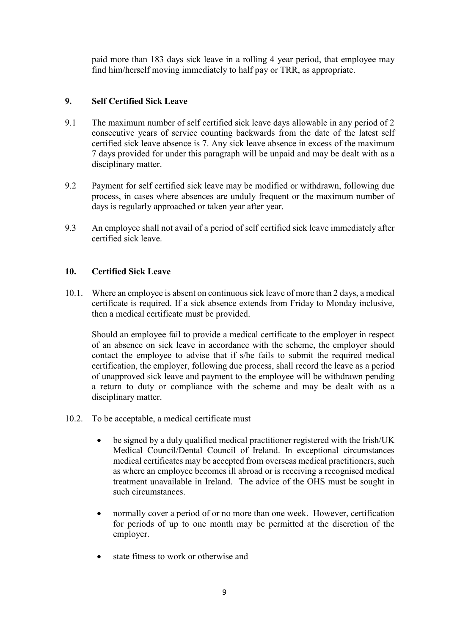paid more than 183 days sick leave in a rolling 4 year period, that employee may find him/herself moving immediately to half pay or TRR, as appropriate.

## <span id="page-8-0"></span>**9. Self Certified Sick Leave**

- 9.1 The maximum number of self certified sick leave days allowable in any period of 2 consecutive years of service counting backwards from the date of the latest self certified sick leave absence is 7. Any sick leave absence in excess of the maximum 7 days provided for under this paragraph will be unpaid and may be dealt with as a disciplinary matter.
- 9.2 Payment for self certified sick leave may be modified or withdrawn, following due process, in cases where absences are unduly frequent or the maximum number of days is regularly approached or taken year after year.
- 9.3 An employee shall not avail of a period of self certified sick leave immediately after certified sick leave.

## <span id="page-8-1"></span>**10. Certified Sick Leave**

10.1. Where an employee is absent on continuous sick leave of more than 2 days, a medical certificate is required. If a sick absence extends from Friday to Monday inclusive, then a medical certificate must be provided.

Should an employee fail to provide a medical certificate to the employer in respect of an absence on sick leave in accordance with the scheme, the employer should contact the employee to advise that if s/he fails to submit the required medical certification, the employer, following due process, shall record the leave as a period of unapproved sick leave and payment to the employee will be withdrawn pending a return to duty or compliance with the scheme and may be dealt with as a disciplinary matter.

- 10.2. To be acceptable, a medical certificate must
	- be signed by a duly qualified medical practitioner registered with the Irish/UK Medical Council/Dental Council of Ireland. In exceptional circumstances medical certificates may be accepted from overseas medical practitioners, such as where an employee becomes ill abroad or is receiving a recognised medical treatment unavailable in Ireland. The advice of the OHS must be sought in such circumstances.
	- normally cover a period of or no more than one week. However, certification for periods of up to one month may be permitted at the discretion of the employer.
	- state fitness to work or otherwise and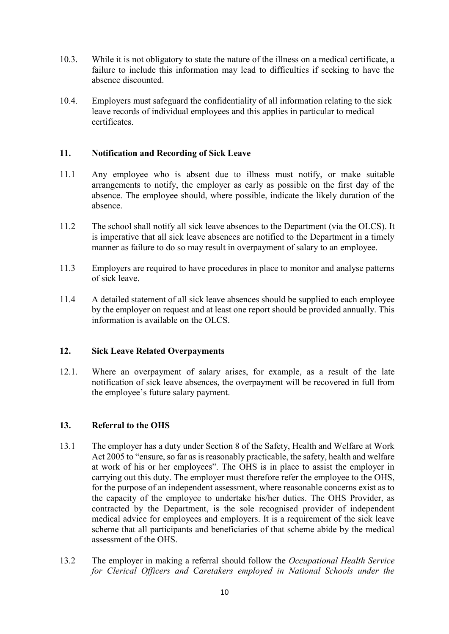- 10.3. While it is not obligatory to state the nature of the illness on a medical certificate, a failure to include this information may lead to difficulties if seeking to have the absence discounted.
- 10.4. Employers must safeguard the confidentiality of all information relating to the sick leave records of individual employees and this applies in particular to medical certificates.

### <span id="page-9-0"></span>**11. Notification and Recording of Sick Leave**

- 11.1 Any employee who is absent due to illness must notify, or make suitable arrangements to notify, the employer as early as possible on the first day of the absence. The employee should, where possible, indicate the likely duration of the absence.
- 11.2 The school shall notify all sick leave absences to the Department (via the OLCS). It is imperative that all sick leave absences are notified to the Department in a timely manner as failure to do so may result in overpayment of salary to an employee.
- 11.3 Employers are required to have procedures in place to monitor and analyse patterns of sick leave.
- 11.4 A detailed statement of all sick leave absences should be supplied to each employee by the employer on request and at least one report should be provided annually. This information is available on the OLCS.

## <span id="page-9-1"></span>**12. Sick Leave Related Overpayments**

12.1. Where an overpayment of salary arises, for example, as a result of the late notification of sick leave absences, the overpayment will be recovered in full from the employee's future salary payment.

## <span id="page-9-2"></span>**13. Referral to the OHS**

- 13.1 The employer has a duty under Section 8 of the Safety, Health and Welfare at Work Act 2005 to "ensure, so far as is reasonably practicable, the safety, health and welfare at work of his or her employees". The OHS is in place to assist the employer in carrying out this duty. The employer must therefore refer the employee to the OHS, for the purpose of an independent assessment, where reasonable concerns exist as to the capacity of the employee to undertake his/her duties. The OHS Provider, as contracted by the Department, is the sole recognised provider of independent medical advice for employees and employers. It is a requirement of the sick leave scheme that all participants and beneficiaries of that scheme abide by the medical assessment of the OHS.
- 13.2 The employer in making a referral should follow the *Occupational Health Service for Clerical Officers and Caretakers employed in National Schools under the*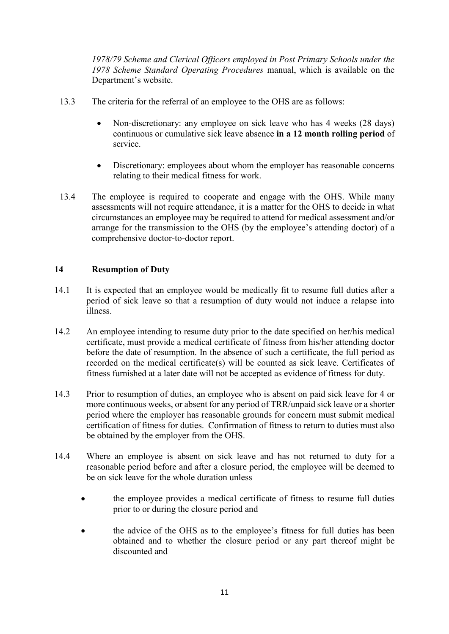*1978/79 Scheme and Clerical Officers employed in Post Primary Schools under the 1978 Scheme Standard Operating Procedures* manual, which is available on the Department's website.

- 13.3 The criteria for the referral of an employee to the OHS are as follows:
	- Non-discretionary: any employee on sick leave who has 4 weeks (28 days) continuous or cumulative sick leave absence **in a 12 month rolling period** of service.
	- Discretionary: employees about whom the employer has reasonable concerns relating to their medical fitness for work.
- 13.4 The employee is required to cooperate and engage with the OHS. While many assessments will not require attendance, it is a matter for the OHS to decide in what circumstances an employee may be required to attend for medical assessment and/or arrange for the transmission to the OHS (by the employee's attending doctor) of a comprehensive doctor-to-doctor report.

### <span id="page-10-0"></span>**14 Resumption of Duty**

- 14.1 It is expected that an employee would be medically fit to resume full duties after a period of sick leave so that a resumption of duty would not induce a relapse into illness.
- 14.2 An employee intending to resume duty prior to the date specified on her/his medical certificate, must provide a medical certificate of fitness from his/her attending doctor before the date of resumption. In the absence of such a certificate, the full period as recorded on the medical certificate(s) will be counted as sick leave. Certificates of fitness furnished at a later date will not be accepted as evidence of fitness for duty.
- 14.3 Prior to resumption of duties, an employee who is absent on paid sick leave for 4 or more continuous weeks, or absent for any period of TRR/unpaid sick leave or a shorter period where the employer has reasonable grounds for concern must submit medical certification of fitness for duties. Confirmation of fitness to return to duties must also be obtained by the employer from the OHS.
- 14.4 Where an employee is absent on sick leave and has not returned to duty for a reasonable period before and after a closure period, the employee will be deemed to be on sick leave for the whole duration unless
	- the employee provides a medical certificate of fitness to resume full duties prior to or during the closure period and
	- the advice of the OHS as to the employee's fitness for full duties has been obtained and to whether the closure period or any part thereof might be discounted and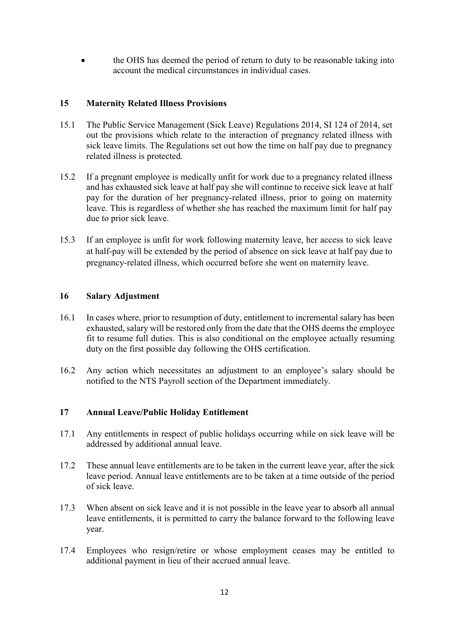the OHS has deemed the period of return to duty to be reasonable taking into account the medical circumstances in individual cases.

### <span id="page-11-0"></span>**15 Maternity Related Illness Provisions**

- 15.1 The Public Service Management (Sick Leave) Regulations 2014, SI 124 of 2014, set out the provisions which relate to the interaction of pregnancy related illness with sick leave limits. The Regulations set out how the time on half pay due to pregnancy related illness is protected.
- 15.2 If a pregnant employee is medically unfit for work due to a pregnancy related illness and has exhausted sick leave at half pay she will continue to receive sick leave at half pay for the duration of her pregnancy-related illness, prior to going on maternity leave. This is regardless of whether she has reached the maximum limit for half pay due to prior sick leave.
- 15.3 If an employee is unfit for work following maternity leave, her access to sick leave at half-pay will be extended by the period of absence on sick leave at half pay due to pregnancy-related illness, which occurred before she went on maternity leave.

#### <span id="page-11-1"></span>**16 Salary Adjustment**

- 16.1 In cases where, prior to resumption of duty, entitlement to incremental salary has been exhausted, salary will be restored only from the date that the OHS deems the employee fit to resume full duties. This is also conditional on the employee actually resuming duty on the first possible day following the OHS certification.
- 16.2 Any action which necessitates an adjustment to an employee's salary should be notified to the NTS Payroll section of the Department immediately.

## <span id="page-11-2"></span>**17 Annual Leave/Public Holiday Entitlement**

- 17.1 Any entitlements in respect of public holidays occurring while on sick leave will be addressed by additional annual leave.
- 17.2 These annual leave entitlements are to be taken in the current leave year, after the sick leave period. Annual leave entitlements are to be taken at a time outside of the period of sick leave.
- 17.3 When absent on sick leave and it is not possible in the leave year to absorb all annual leave entitlements, it is permitted to carry the balance forward to the following leave year.
- 17.4 Employees who resign/retire or whose employment ceases may be entitled to additional payment in lieu of their accrued annual leave.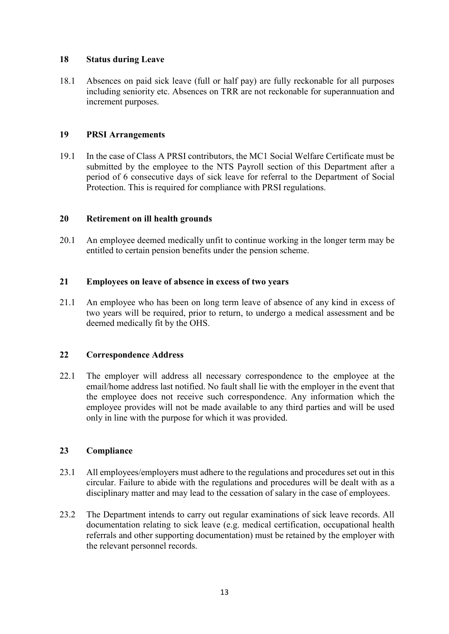### <span id="page-12-0"></span>**18 Status during Leave**

18.1 Absences on paid sick leave (full or half pay) are fully reckonable for all purposes including seniority etc. Absences on TRR are not reckonable for superannuation and increment purposes.

### <span id="page-12-1"></span>**19 PRSI Arrangements**

19.1 In the case of Class A PRSI contributors, the MC1 Social Welfare Certificate must be submitted by the employee to the NTS Payroll section of this Department after a period of 6 consecutive days of sick leave for referral to the Department of Social Protection. This is required for compliance with PRSI regulations.

### <span id="page-12-2"></span>**20 Retirement on ill health grounds**

20.1 An employee deemed medically unfit to continue working in the longer term may be entitled to certain pension benefits under the pension scheme.

#### <span id="page-12-3"></span>**21 Employees on leave of absence in excess of two years**

21.1 An employee who has been on long term leave of absence of any kind in excess of two years will be required, prior to return, to undergo a medical assessment and be deemed medically fit by the OHS.

#### <span id="page-12-4"></span>**22 Correspondence Address**

22.1 The employer will address all necessary correspondence to the employee at the email/home address last notified. No fault shall lie with the employer in the event that the employee does not receive such correspondence. Any information which the employee provides will not be made available to any third parties and will be used only in line with the purpose for which it was provided.

#### <span id="page-12-5"></span>**23 Compliance**

- 23.1 All employees/employers must adhere to the regulations and procedures set out in this circular. Failure to abide with the regulations and procedures will be dealt with as a disciplinary matter and may lead to the cessation of salary in the case of employees.
- 23.2 The Department intends to carry out regular examinations of sick leave records. All documentation relating to sick leave (e.g. medical certification, occupational health referrals and other supporting documentation) must be retained by the employer with the relevant personnel records.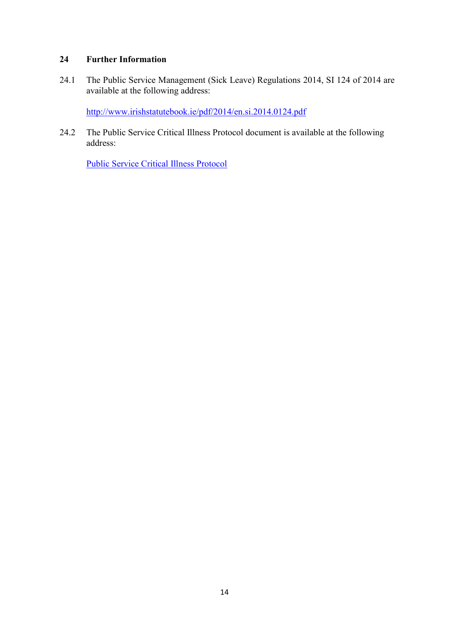## <span id="page-13-0"></span>**24 Further Information**

24.1 The Public Service Management (Sick Leave) Regulations 2014, SI 124 of 2014 are available at the following address:

<http://www.irishstatutebook.ie/pdf/2014/en.si.2014.0124.pdf>

24.2 The Public Service Critical Illness Protocol document is available at the following address:

[Public Service Critical Illness Protocol](http://www.education.ie/en/Education-Staff/Services/Breaks-Leave/Sick-Leave/DPER-Circular-06-2014-Appendix-3-Critical-Illness-Protocol.pdf)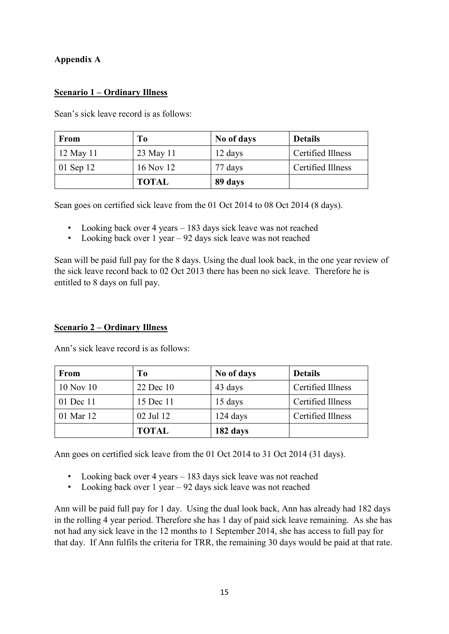## <span id="page-14-0"></span>**Appendix A**

## **Scenario 1 – Ordinary Illness**

Sean's sick leave record is as follows:

| <b>From</b> | T <sub>0</sub> | No of days | <b>Details</b>    |
|-------------|----------------|------------|-------------------|
| 12 May 11   | 23 May 11      | 12 days    | Certified Illness |
| 01 Sep 12   | 16 Nov 12      | 77 days    | Certified Illness |
|             | <b>TOTAL</b>   | 89 days    |                   |

Sean goes on certified sick leave from the 01 Oct 2014 to 08 Oct 2014 (8 days).

- Looking back over 4 years 183 days sick leave was not reached
- Looking back over 1 year 92 days sick leave was not reached

Sean will be paid full pay for the 8 days. Using the dual look back, in the one year review of the sick leave record back to 02 Oct 2013 there has been no sick leave. Therefore he is entitled to 8 days on full pay.

## **Scenario 2 – Ordinary Illness**

| From          | To           | No of days | <b>Details</b>    |
|---------------|--------------|------------|-------------------|
| $10$ Nov $10$ | 22 Dec 10    | 43 days    | Certified Illness |
| 01 Dec 11     | 15 Dec 11    | 15 days    | Certified Illness |
| 01 Mar 12     | 02 Jul 12    | $124$ days | Certified Illness |
|               | <b>TOTAL</b> | 182 days   |                   |

Ann's sick leave record is as follows:

Ann goes on certified sick leave from the 01 Oct 2014 to 31 Oct 2014 (31 days).

- Looking back over 4 years 183 days sick leave was not reached
- Looking back over 1 year 92 days sick leave was not reached

Ann will be paid full pay for 1 day. Using the dual look back, Ann has already had 182 days in the rolling 4 year period. Therefore she has 1 day of paid sick leave remaining. As she has not had any sick leave in the 12 months to 1 September 2014, she has access to full pay for that day. If Ann fulfils the criteria for TRR, the remaining 30 days would be paid at that rate.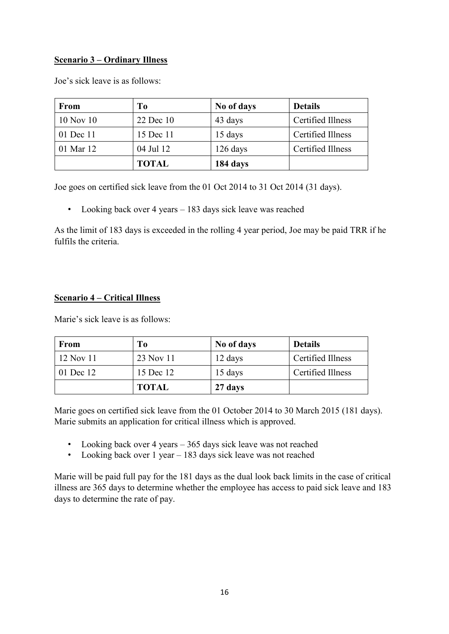## **Scenario 3 – Ordinary Illness**

| <b>From</b>   | T <sub>0</sub> | No of days | <b>Details</b>    |
|---------------|----------------|------------|-------------------|
| $10$ Nov $10$ | 22 Dec 10      | 43 days    | Certified Illness |
| 01 Dec 11     | 15 Dec 11      | 15 days    | Certified Illness |
| 01 Mar 12     | 04 Jul 12      | $126$ days | Certified Illness |
|               | <b>TOTAL</b>   | 184 days   |                   |

Joe's sick leave is as follows:

Joe goes on certified sick leave from the 01 Oct 2014 to 31 Oct 2014 (31 days).

• Looking back over 4 years – 183 days sick leave was reached

As the limit of 183 days is exceeded in the rolling 4 year period, Joe may be paid TRR if he fulfils the criteria.

## **Scenario 4 – Critical Illness**

Marie's sick leave is as follows:

| <b>From</b> | To           | No of days | <b>Details</b>    |
|-------------|--------------|------------|-------------------|
| 12 Nov 11   | 23 Nov 11    | 12 days    | Certified Illness |
| 01 Dec 12   | 15 Dec 12    | 15 days    | Certified Illness |
|             | <b>TOTAL</b> | 27 days    |                   |

Marie goes on certified sick leave from the 01 October 2014 to 30 March 2015 (181 days). Marie submits an application for critical illness which is approved.

- Looking back over 4 years 365 days sick leave was not reached
- Looking back over 1 year 183 days sick leave was not reached

Marie will be paid full pay for the 181 days as the dual look back limits in the case of critical illness are 365 days to determine whether the employee has access to paid sick leave and 183 days to determine the rate of pay.